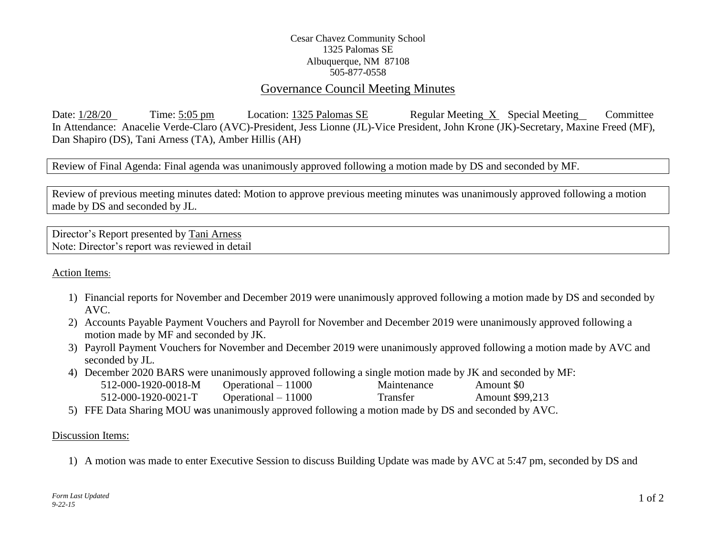## Cesar Chavez Community School 1325 Palomas SE Albuquerque, NM 87108 505-877-0558

## Governance Council Meeting Minutes

Date: 1/28/20 Time: 5:05 pm Location: 1325 Palomas SE Regular Meeting X Special Meeting Committee In Attendance: Anacelie Verde-Claro (AVC)-President, Jess Lionne (JL)-Vice President, John Krone (JK)-Secretary, Maxine Freed (MF), Dan Shapiro (DS), Tani Arness (TA), Amber Hillis (AH)

Review of Final Agenda: Final agenda was unanimously approved following a motion made by DS and seconded by MF.

Review of previous meeting minutes dated: Motion to approve previous meeting minutes was unanimously approved following a motion made by DS and seconded by JL.

Director's Report presented by Tani Arness Note: Director's report was reviewed in detail

Action Items:

- 1) Financial reports for November and December 2019 were unanimously approved following a motion made by DS and seconded by AVC.
- 2) Accounts Payable Payment Vouchers and Payroll for November and December 2019 were unanimously approved following a motion made by MF and seconded by JK.
- 3) Payroll Payment Vouchers for November and December 2019 were unanimously approved following a motion made by AVC and seconded by JL.
- 4) December 2020 BARS were unanimously approved following a single motion made by JK and seconded by MF:

| 512-000-1920-0018-M | Operational $-11000$ | Maintenance | Amount \$0      |
|---------------------|----------------------|-------------|-----------------|
| 512-000-1920-0021-T | Operational $-11000$ | Transfer    | Amount \$99,213 |

5) FFE Data Sharing MOU was unanimously approved following a motion made by DS and seconded by AVC.

## Discussion Items:

1) A motion was made to enter Executive Session to discuss Building Update was made by AVC at 5:47 pm, seconded by DS and